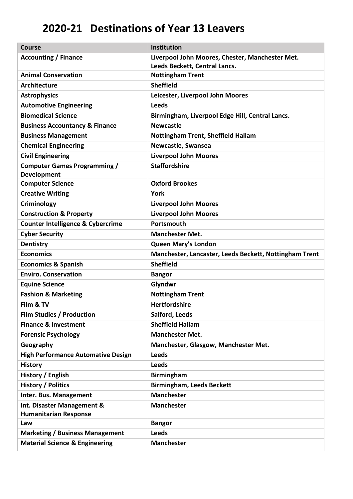## **2020-21 Destinations of Year 13 Leavers**

| <b>Course</b>                                             | <b>Institution</b>                                     |
|-----------------------------------------------------------|--------------------------------------------------------|
| <b>Accounting / Finance</b>                               | Liverpool John Moores, Chester, Manchester Met.        |
|                                                           | Leeds Beckett, Central Lancs.                          |
| <b>Animal Conservation</b>                                | <b>Nottingham Trent</b>                                |
| Architecture                                              | <b>Sheffield</b>                                       |
| <b>Astrophysics</b>                                       | Leicester, Liverpool John Moores                       |
| <b>Automotive Engineering</b>                             | <b>Leeds</b>                                           |
| <b>Biomedical Science</b>                                 | Birmingham, Liverpool Edge Hill, Central Lancs.        |
| <b>Business Accountancy &amp; Finance</b>                 | <b>Newcastle</b>                                       |
| <b>Business Management</b>                                | <b>Nottingham Trent, Sheffield Hallam</b>              |
| <b>Chemical Engineering</b>                               | Newcastle, Swansea                                     |
| <b>Civil Engineering</b>                                  | <b>Liverpool John Moores</b>                           |
| <b>Computer Games Programming /</b><br><b>Development</b> | <b>Staffordshire</b>                                   |
| <b>Computer Science</b>                                   | <b>Oxford Brookes</b>                                  |
| <b>Creative Writing</b>                                   | York                                                   |
| Criminology                                               | <b>Liverpool John Moores</b>                           |
| <b>Construction &amp; Property</b>                        | <b>Liverpool John Moores</b>                           |
| <b>Counter Intelligence &amp; Cybercrime</b>              | Portsmouth                                             |
| <b>Cyber Security</b>                                     | <b>Manchester Met.</b>                                 |
| <b>Dentistry</b>                                          | <b>Queen Mary's London</b>                             |
| <b>Economics</b>                                          | Manchester, Lancaster, Leeds Beckett, Nottingham Trent |
| <b>Economics &amp; Spanish</b>                            | <b>Sheffield</b>                                       |
| <b>Enviro. Conservation</b>                               | <b>Bangor</b>                                          |
| <b>Equine Science</b>                                     | Glyndwr                                                |
| <b>Fashion &amp; Marketing</b>                            | <b>Nottingham Trent</b>                                |
| Film & TV                                                 | <b>Hertfordshire</b>                                   |
| <b>Film Studies / Production</b>                          | Salford, Leeds                                         |
| <b>Finance &amp; Investment</b>                           | <b>Sheffield Hallam</b>                                |
| <b>Forensic Psychology</b>                                | <b>Manchester Met.</b>                                 |
| Geography                                                 | Manchester, Glasgow, Manchester Met.                   |
| <b>High Performance Automative Design</b>                 | <b>Leeds</b>                                           |
| <b>History</b>                                            | <b>Leeds</b>                                           |
| History / English                                         | <b>Birmingham</b>                                      |
| <b>History / Politics</b>                                 | <b>Birmingham, Leeds Beckett</b>                       |
| Inter. Bus. Management                                    | <b>Manchester</b>                                      |
| Int. Disaster Management &                                | <b>Manchester</b>                                      |
| <b>Humanitarian Response</b>                              |                                                        |
| Law                                                       | <b>Bangor</b>                                          |
| <b>Marketing / Business Management</b>                    | <b>Leeds</b>                                           |
| <b>Material Science &amp; Engineering</b>                 | <b>Manchester</b>                                      |